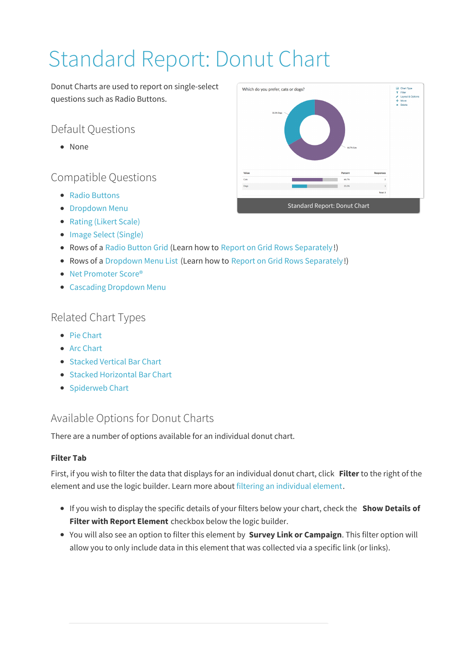# Standard Report: Donut Chart

Donut Charts are used to report on single-select questions such as Radio Buttons.

## Default Questions

None

## Compatible Questions

- Radio Buttons
- **Dropdown Menu**
- Rating (Likert Scale)
- Image Select (Single)
- Rows of a Radio Button Grid (Learn how to Report on Grid Rows Separately!)
- Rows of a Dropdown Menu List (Learn how to Report on Grid Rows Separately!)
- Net Promoter Score®
- Cascading Dropdown Menu

## Related Chart Types

- Pie Chart
- Arc Chart
- Stacked Vertical Bar Chart
- Stacked Horizontal Bar Chart
- Spiderweb Chart

## Available Options for Donut Charts

There are a number of options available for an individual donut chart.

#### **Filter Tab**

First, if you wish to filter the data that displays for an individual donut chart, click **Filter** to the right of the element and use the logic builder. Learn more about filtering an individual element.

- If you wish to display the specific details of your filters below your chart, check the **Show Details of Filter with Report Element** checkbox below the logic builder.
- You will also see an option to filter this element by **Survey Link or Campaign**. This filter option will allow you to only include data in this element that was collected via a specific link (or links).

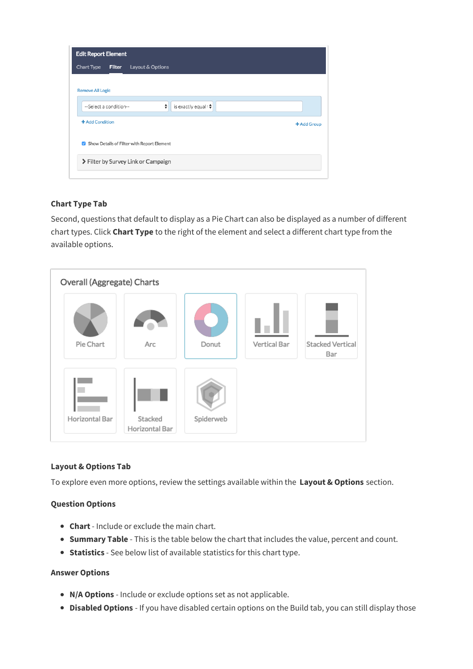| <b>Edit Report Element</b>                         |             |
|----------------------------------------------------|-------------|
| Chart Type<br><b>Filter</b><br>Layout & Options    |             |
|                                                    |             |
| <b>Remove All Logic</b>                            |             |
| ÷<br>is exactly equal to<br>--Select a condition-- |             |
| + Add Condition                                    | + Add Group |
| Show Details of Filter with Report Element         |             |
| > Filter by Survey Link or Campaign                |             |
|                                                    |             |

#### **Chart Type Tab**

Second, questions that default to display as a Pie Chart can also be displayed as a number of different chart types. Click **Chart Type** to the right of the element and select a different chart type from the available options.



#### **Layout & Options Tab**

To explore even more options, review the settings available within the **Layout & Options** section.

#### **Question Options**

- **Chart** Include or exclude the main chart.
- **Summary Table** This is the table below the chart that includes the value, percent and count.
- **Statistics** See below list of available statistics for this chart type.

#### **Answer Options**

- **N/A Options** Include or exclude options set as not applicable.
- **Disabled Options** If you have disabled certain options on the Build tab, you can still display those